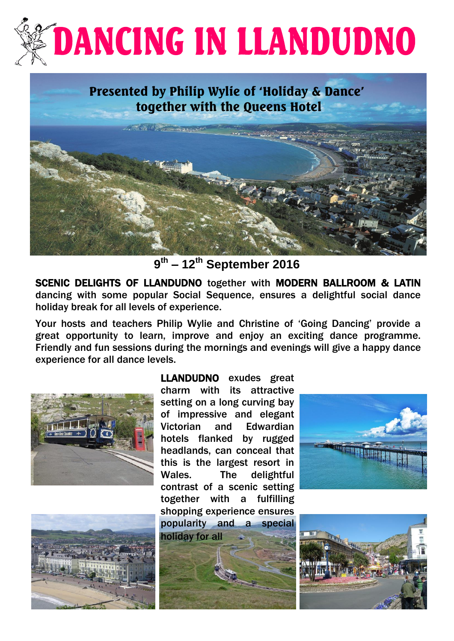# **DANCING IN LLANDUDNO**

# Presented by Philip Wylie of 'Holiday & Dance' together with the Queens Hotel



**9 th – 12th September 2016**

SCENIC DELIGHTS OF LLANDUDNO together with MODERN BALLROOM & LATIN dancing with some popular Social Sequence, ensures a delightful social dance holiday break for all levels of experience.

 Your hosts and teachers Philip Wylie and Christine of 'Going Dancing' provide a great opportunity to learn, improve and enjoy an exciting dance programme. Friendly and fun sessions during the mornings and evenings will give a happy dance experience for all dance levels.





LLANDUDNO exudes great charm with its attractive setting on a long curving bay of impressive and elegant Victorian and Edwardian hotels flanked by rugged headlands, can conceal that this is the largest resort in Wales. The delightful contrast of a scenic setting together with a fulfilling shopping experience ensures popularity and a special holiday for all